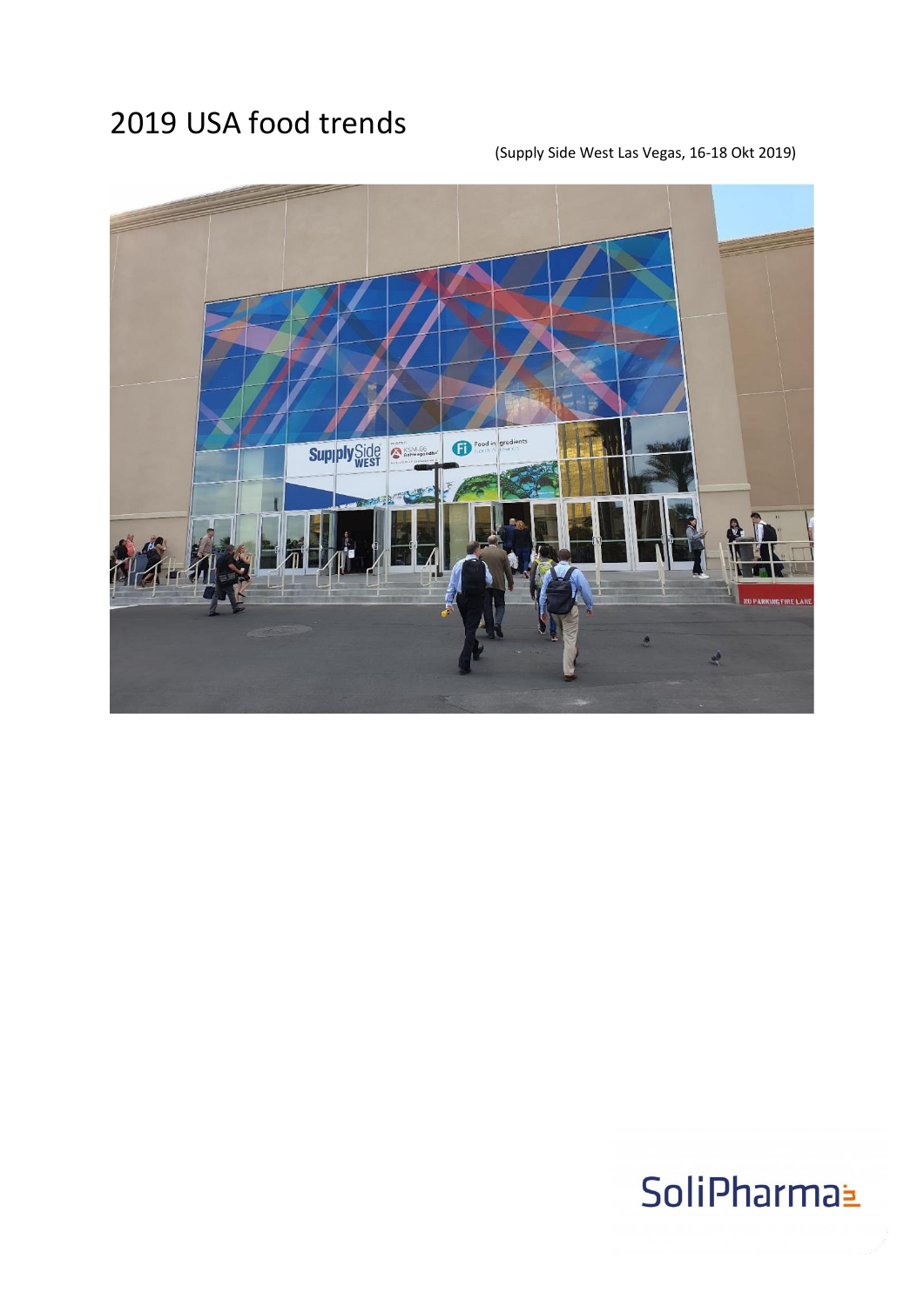### 2019 USA food trends

### (Supply Side West Las Vegas, 16-18 Okt 2019)

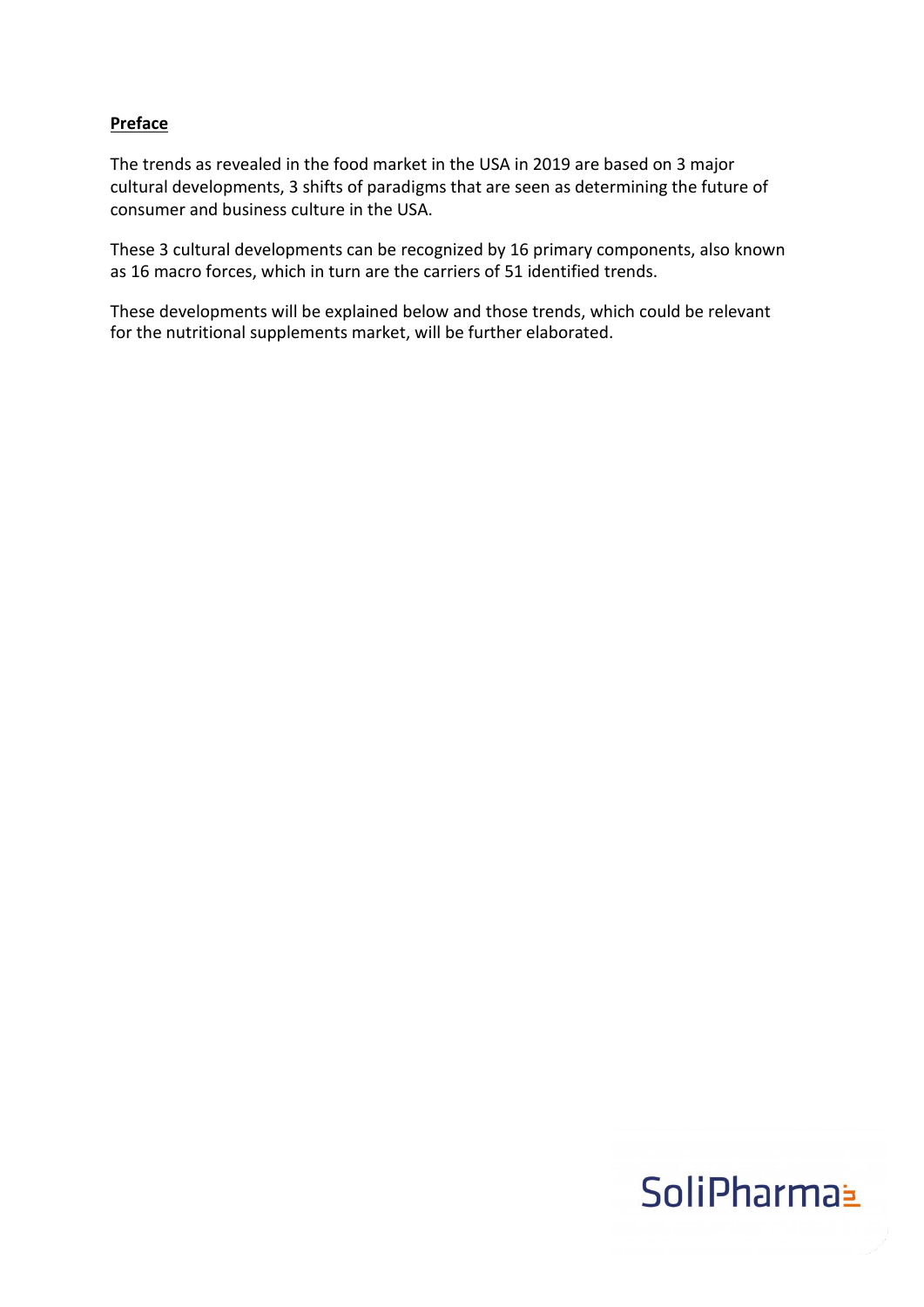### **Preface**

The trends as revealed in the food market in the USA in 2019 are based on 3 major cultural developments, 3 shifts of paradigms that are seen as determining the future of consumer and business culture in the USA.

These 3 cultural developments can be recognized by 16 primary components, also known as 16 macro forces, which in turn are the carriers of 51 identified trends.

These developments will be explained below and those trends, which could be relevant for the nutritional supplements market, will be further elaborated.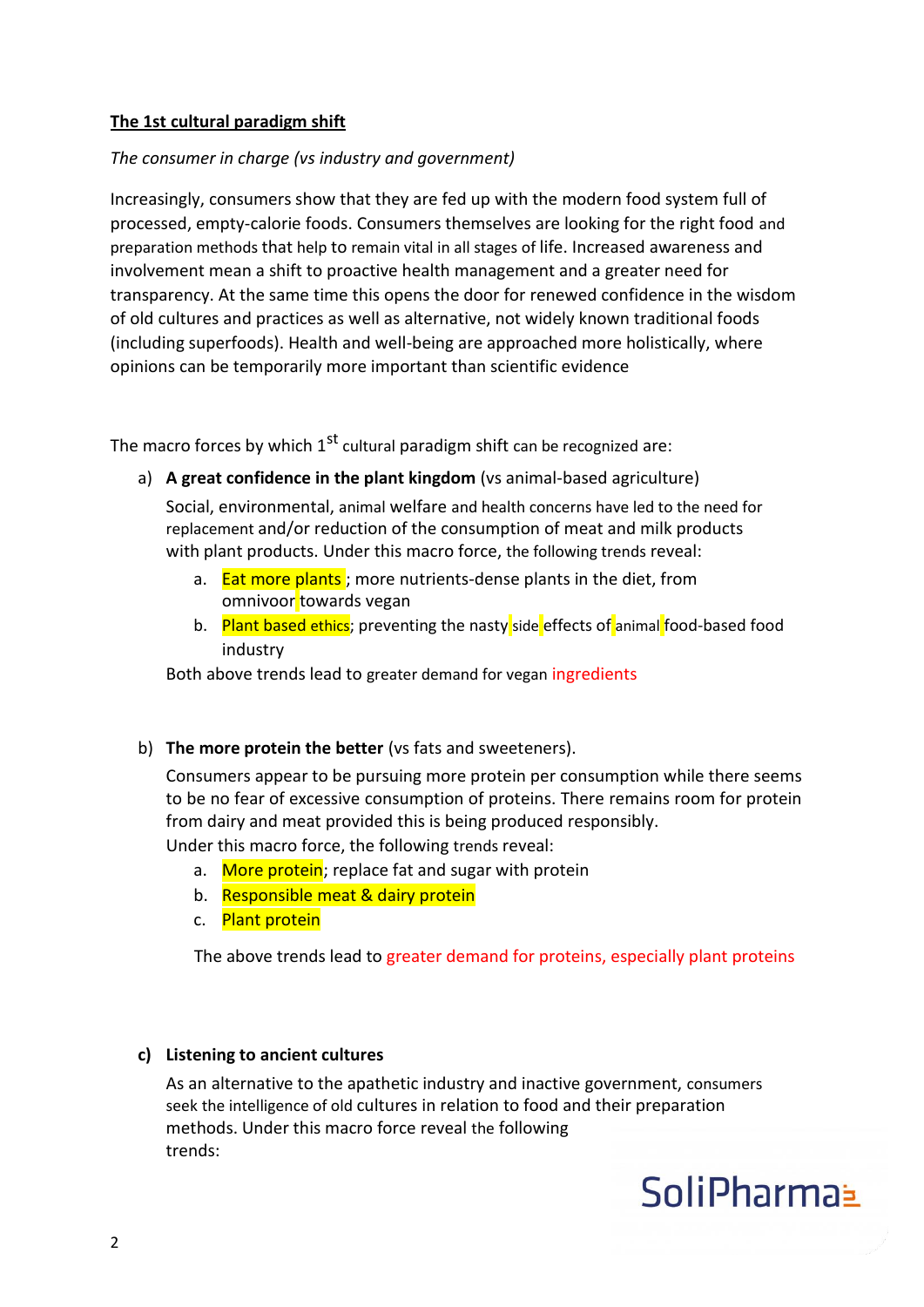### **The 1st cultural paradigm shift**

### *The consumer in charge (vs industry and government)*

Increasingly, consumers show that they are fed up with the modern food system full of processed, empty-calorie foods. Consumers themselves are looking for the right food and preparation methods that help to remain vital in all stages of life. Increased awareness and involvement mean a shift to proactive health management and a greater need for transparency. At the same time this opens the door for renewed confidence in the wisdom of old cultures and practices as well as alternative, not widely known traditional foods (including superfoods). Health and well-being are approached more holistically, where opinions can be temporarily more important than scientific evidence

The macro forces by which  $1<sup>st</sup>$  cultural paradigm shift can be recognized are:

a) **A great confidence in the plant kingdom** (vs animal-based agriculture)

Social, environmental, animal welfare and health concerns have led to the need for replacement and/or reduction of the consumption of meat and milk products with plant products. Under this macro force, the following trends reveal:

- a. Eat more plants; more nutrients-dense plants in the diet, from omnivoor towards vegan
- b. Plant based ethics; preventing the nasty side effects of animal food-based food industry

Both above trends lead to greater demand for vegan ingredients

b) **The more protein the better** (vs fats and sweeteners).

Consumers appear to be pursuing more protein per consumption while there seems to be no fear of excessive consumption of proteins. There remains room for protein from dairy and meat provided this is being produced responsibly.

Under this macro force, the following trends reveal:

- a. More protein; replace fat and sugar with protein
- b. Responsible meat & dairy protein
- c. Plant protein

The above trends lead to greater demand for proteins, especially plant proteins

### **c) Listening to ancient cultures**

As an alternative to the apathetic industry and inactive government, consumers seek the intelligence of old cultures in relation to food and their preparation methods. Under this macro force reveal the following trends:

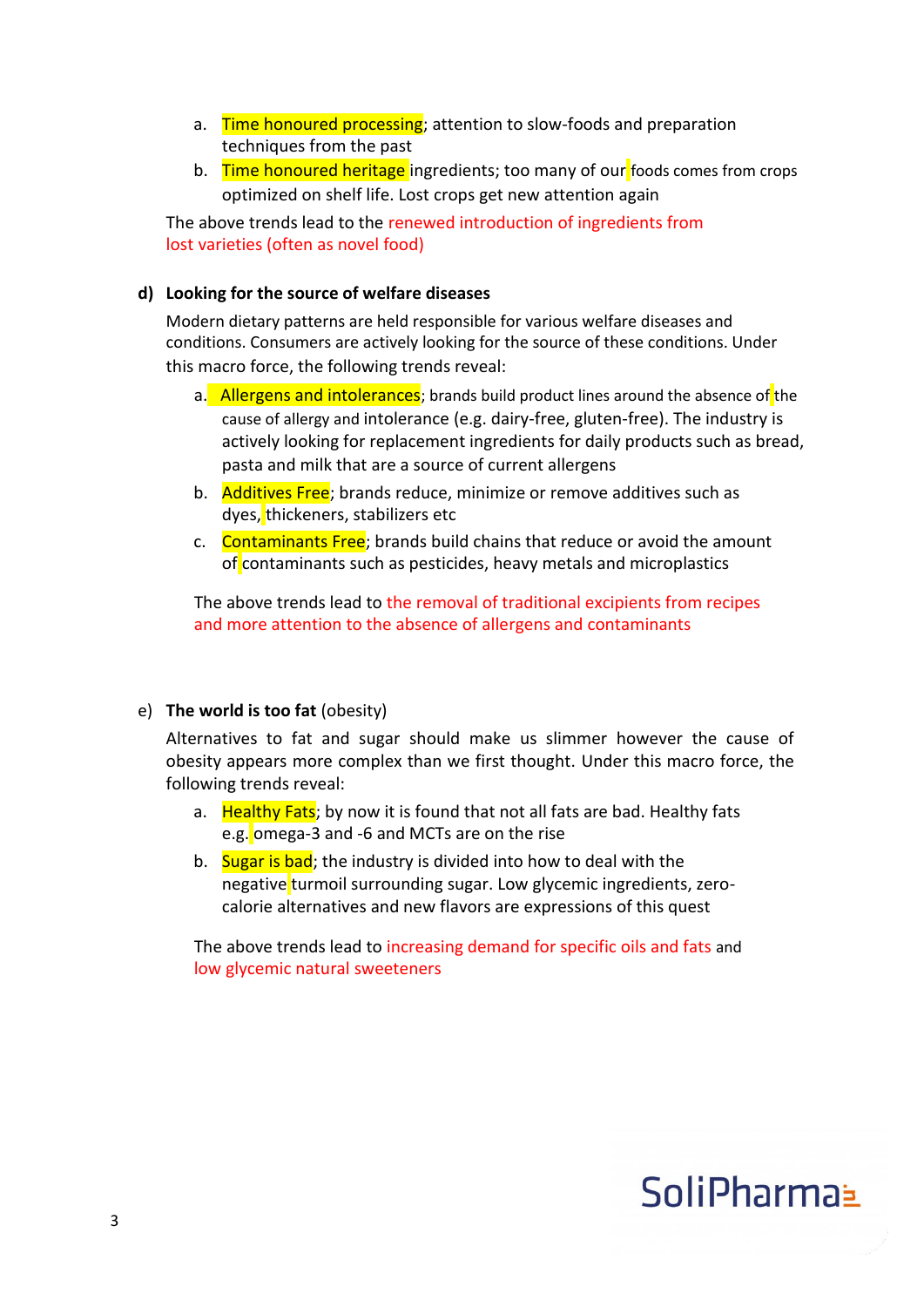- a. Time honoured processing; attention to slow-foods and preparation techniques from the past
- b. Time honoured heritage ingredients; too many of our foods comes from crops optimized on shelf life. Lost crops get new attention again

The above trends lead to the renewed introduction of ingredients from lost varieties (often as novel food)

### **d) Looking for the source of welfare diseases**

Modern dietary patterns are held responsible for various welfare diseases and conditions. Consumers are actively looking for the source of these conditions. Under this macro force, the following trends reveal:

- a. Allergens and intolerances; brands build product lines around the absence of the cause of allergy and intolerance (e.g. dairy-free, gluten-free). The industry is actively looking for replacement ingredients for daily products such as bread, pasta and milk that are a source of current allergens
- b. **Additives Free**: brands reduce, minimize or remove additives such as dyes, thickeners, stabilizers etc
- c. Contaminants Free; brands build chains that reduce or avoid the amount of contaminants such as pesticides, heavy metals and microplastics

The above trends lead to the removal of traditional excipients from recipes and more attention to the absence of allergens and contaminants

#### e) **The world is too fat** (obesity)

Alternatives to fat and sugar should make us slimmer however the cause of obesity appears more complex than we first thought. Under this macro force, the following trends reveal:

- a. Healthy Fats; by now it is found that not all fats are bad. Healthy fats e.g. omega-3 and -6 and MCTs are on the rise
- b. Sugar is bad; the industry is divided into how to deal with the negative turmoil surrounding sugar. Low glycemic ingredients, zerocalorie alternatives and new flavors are expressions of this quest

The above trends lead to increasing demand for specific oils and fats and low glycemic natural sweeteners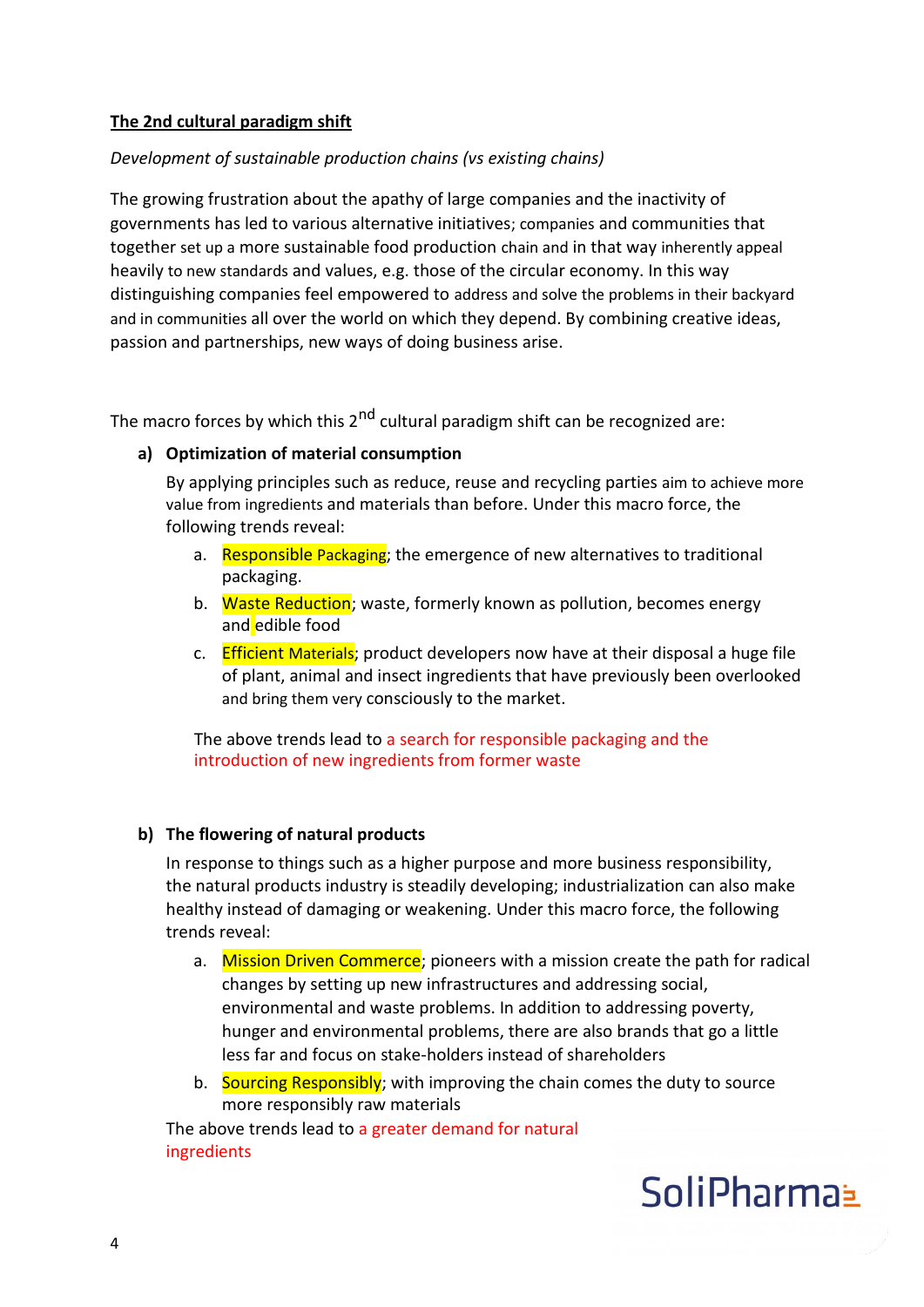### **The 2nd cultural paradigm shift**

### *Development of sustainable production chains (vs existing chains)*

The growing frustration about the apathy of large companies and the inactivity of governments has led to various alternative initiatives; companies and communities that together set up a more sustainable food production chain and in that way inherently appeal heavily to new standards and values, e.g. those of the circular economy. In this way distinguishing companies feel empowered to address and solve the problems in their backyard and in communities all over the world on which they depend. By combining creative ideas, passion and partnerships, new ways of doing business arise.

The macro forces by which this  $2<sup>nd</sup>$  cultural paradigm shift can be recognized are:

### **a) Optimization of material consumption**

By applying principles such as reduce, reuse and recycling parties aim to achieve more value from ingredients and materials than before. Under this macro force, the following trends reveal:

- a. Responsible Packaging; the emergence of new alternatives to traditional packaging.
- b. Waste Reduction; waste, formerly known as pollution, becomes energy and edible food
- c. **Efficient Materials**; product developers now have at their disposal a huge file of plant, animal and insect ingredients that have previously been overlooked and bring them very consciously to the market.

The above trends lead to a search for responsible packaging and the introduction of new ingredients from former waste

### **b) The flowering of natural products**

In response to things such as a higher purpose and more business responsibility, the natural products industry is steadily developing; industrialization can also make healthy instead of damaging or weakening. Under this macro force, the following trends reveal:

- a. Mission Driven Commerce; pioneers with a mission create the path for radical changes by setting up new infrastructures and addressing social, environmental and waste problems. In addition to addressing poverty, hunger and environmental problems, there are also brands that go a little less far and focus on stake-holders instead of shareholders
- b. Sourcing Responsibly: with improving the chain comes the duty to source more responsibly raw materials

The above trends lead to a greater demand for natural ingredients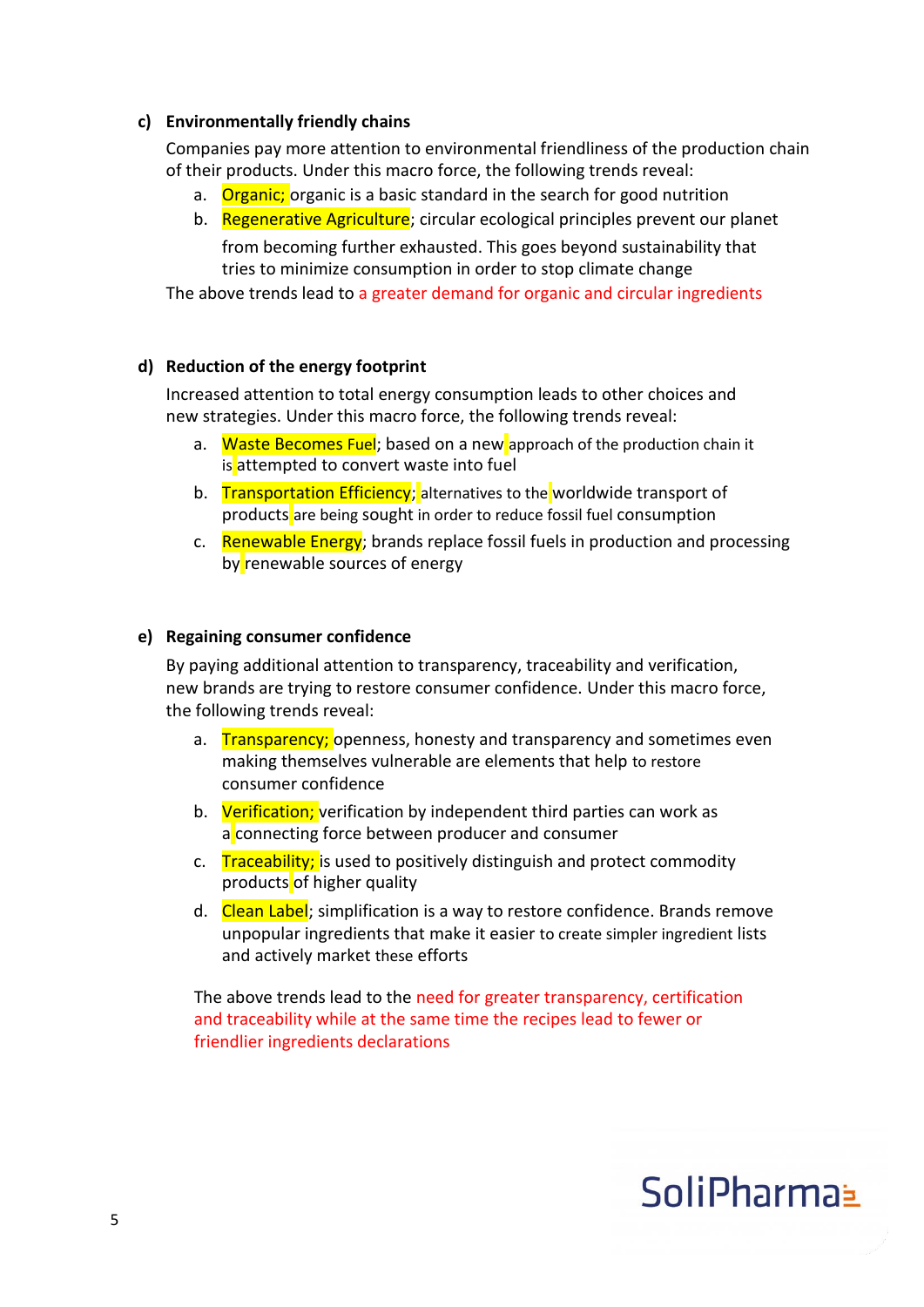#### **c) Environmentally friendly chains**

Companies pay more attention to environmental friendliness of the production chain of their products. Under this macro force, the following trends reveal:

- a. Organic; organic is a basic standard in the search for good nutrition
- b. Regenerative Agriculture; circular ecological principles prevent our planet from becoming further exhausted. This goes beyond sustainability that tries to minimize consumption in order to stop climate change

The above trends lead to a greater demand for organic and circular ingredients

### **d) Reduction of the energy footprint**

Increased attention to total energy consumption leads to other choices and new strategies. Under this macro force, the following trends reveal:

- a. Waste Becomes Fuel: based on a new approach of the production chain it is attempted to convert waste into fuel
- b. Transportation Efficiency; alternatives to the worldwide transport of products are being sought in order to reduce fossil fuel consumption
- c. Renewable Energy; brands replace fossil fuels in production and processing by renewable sources of energy

#### **e) Regaining consumer confidence**

By paying additional attention to transparency, traceability and verification, new brands are trying to restore consumer confidence. Under this macro force, the following trends reveal:

- a. Transparency; openness, honesty and transparency and sometimes even making themselves vulnerable are elements that help to restore consumer confidence
- b. Verification; verification by independent third parties can work as a connecting force between producer and consumer
- c. Traceability; is used to positively distinguish and protect commodity products of higher quality
- d. Clean Label; simplification is a way to restore confidence. Brands remove unpopular ingredients that make it easier to create simpler ingredient lists and actively market these efforts

The above trends lead to the need for greater transparency, certification and traceability while at the same time the recipes lead to fewer or friendlier ingredients declarations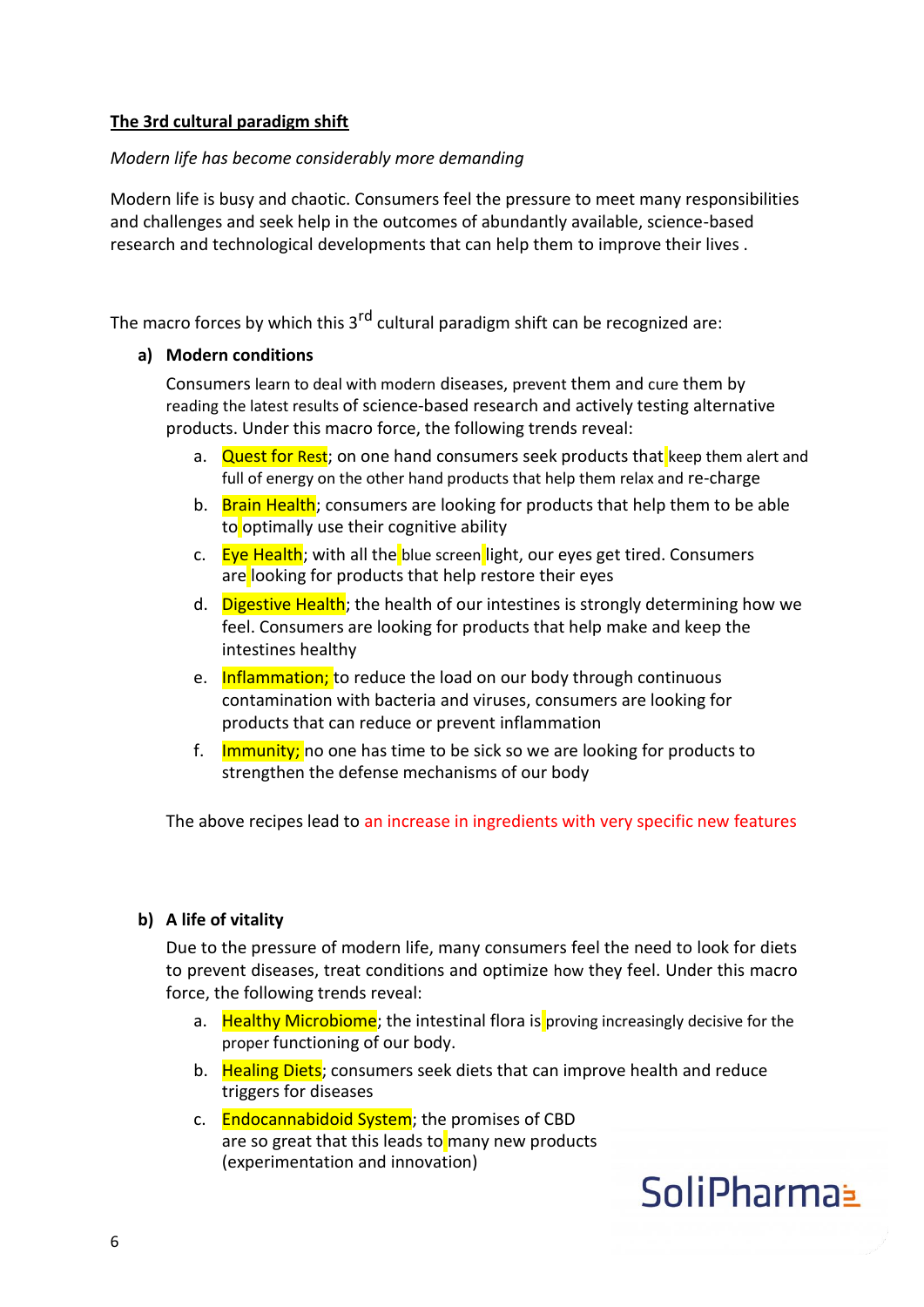### **The 3rd cultural paradigm shift**

### *Modern life has become considerably more demanding*

Modern life is busy and chaotic. Consumers feel the pressure to meet many responsibilities and challenges and seek help in the outcomes of abundantly available, science-based research and technological developments that can help them to improve their lives .

The macro forces by which this  $3<sup>rd</sup>$  cultural paradigm shift can be recognized are:

### **a) Modern conditions**

Consumers learn to deal with modern diseases, prevent them and cure them by reading the latest results of science-based research and actively testing alternative products. Under this macro force, the following trends reveal:

- a. Quest for Rest; on one hand consumers seek products that keep them alert and full of energy on the other hand products that help them relax and re-charge
- b. Brain Health; consumers are looking for products that help them to be able to optimally use their cognitive ability
- c. Eye Health; with all the blue screen light, our eyes get tired. Consumers are looking for products that help restore their eyes
- d. Digestive Health; the health of our intestines is strongly determining how we feel. Consumers are looking for products that help make and keep the intestines healthy
- e. Inflammation; to reduce the load on our body through continuous contamination with bacteria and viruses, consumers are looking for products that can reduce or prevent inflammation
- f. **Immunity;** no one has time to be sick so we are looking for products to strengthen the defense mechanisms of our body

The above recipes lead to an increase in ingredients with very specific new features

### **b) A life of vitality**

Due to the pressure of modern life, many consumers feel the need to look for diets to prevent diseases, treat conditions and optimize how they feel. Under this macro force, the following trends reveal:

- a. Healthy Microbiome; the intestinal flora is proving increasingly decisive for the proper functioning of our body.
- b. Healing Diets; consumers seek diets that can improve health and reduce triggers for diseases
- c. Endocannabidoid System; the promises of CBD are so great that this leads to many new products (experimentation and innovation)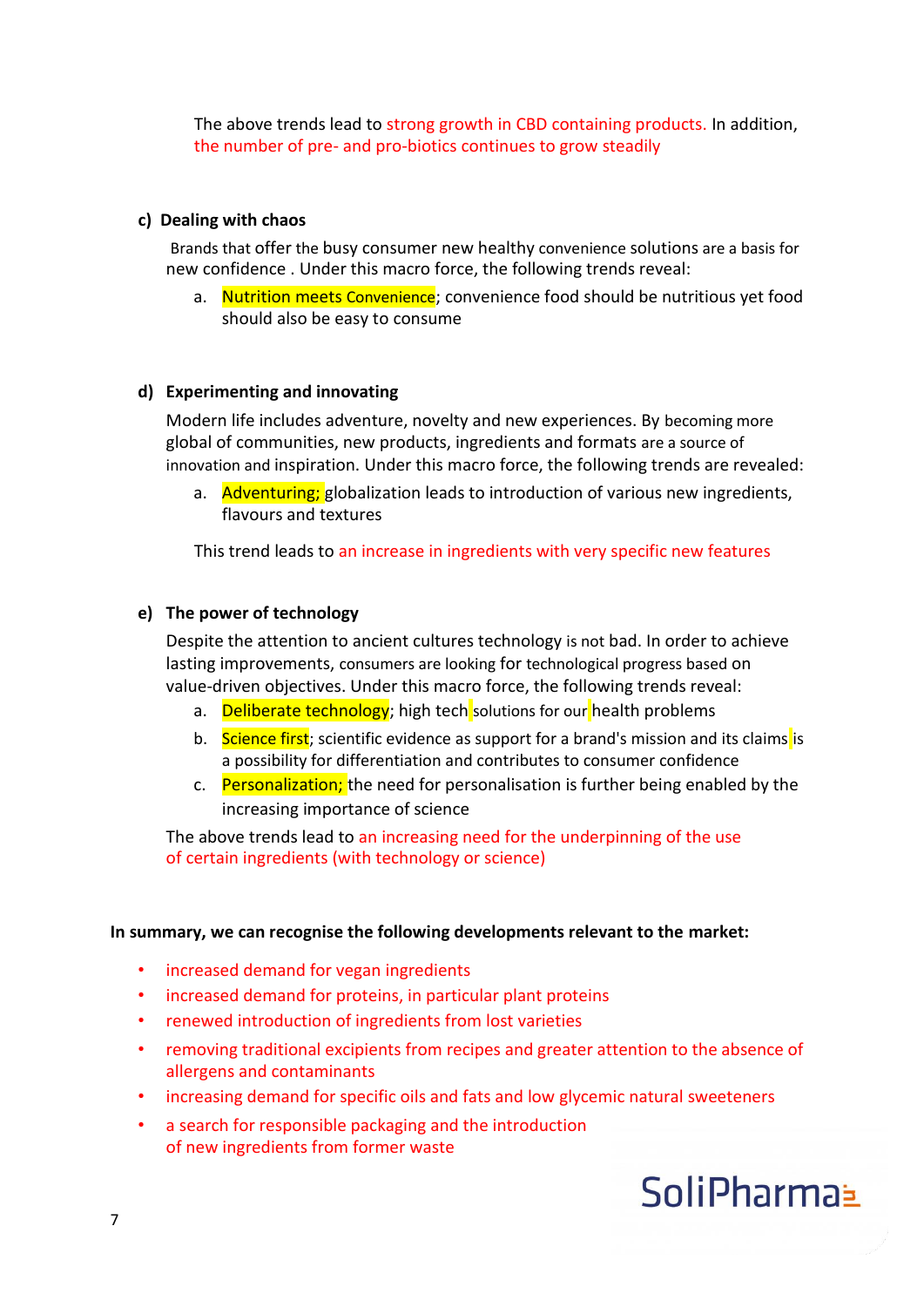The above trends lead to strong growth in CBD containing products. In addition, the number of pre- and pro-biotics continues to grow steadily

#### **c) Dealing with chaos**

Brands that offer the busy consumer new healthy convenience solutions are a basis for new confidence . Under this macro force, the following trends reveal:

a. Nutrition meets Convenience; convenience food should be nutritious yet food should also be easy to consume

#### **d) Experimenting and innovating**

Modern life includes adventure, novelty and new experiences. By becoming more global of communities, new products, ingredients and formats are a source of innovation and inspiration. Under this macro force, the following trends are revealed:

a. Adventuring; globalization leads to introduction of various new ingredients, flavours and textures

This trend leads to an increase in ingredients with very specific new features

#### **e) The power of technology**

Despite the attention to ancient cultures technology is not bad. In order to achieve lasting improvements, consumers are looking for technological progress based on value-driven objectives. Under this macro force, the following trends reveal:

- a. Deliberate technology; high tech solutions for our health problems
- b. Science first; scientific evidence as support for a brand's mission and its claims is a possibility for differentiation and contributes to consumer confidence
- c. Personalization; the need for personalisation is further being enabled by the increasing importance of science

The above trends lead to an increasing need for the underpinning of the use of certain ingredients (with technology or science)

#### **In summary, we can recognise the following developments relevant to the market:**

- increased demand for vegan ingredients
- increased demand for proteins, in particular plant proteins
- renewed introduction of ingredients from lost varieties
- removing traditional excipients from recipes and greater attention to the absence of allergens and contaminants
- increasing demand for specific oils and fats and low glycemic natural sweeteners
- a search for responsible packaging and the introduction of new ingredients from former waste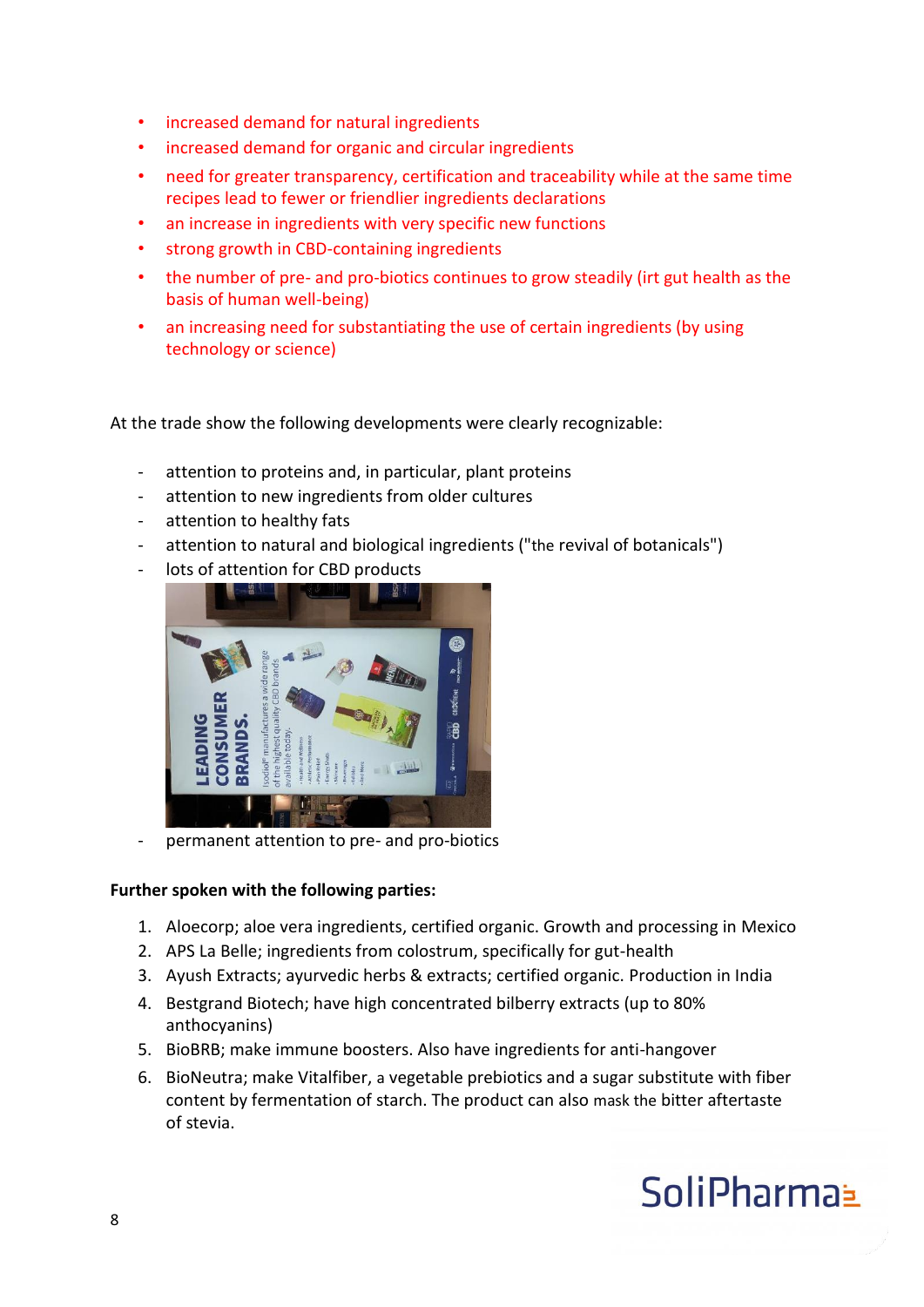- increased demand for natural ingredients
- increased demand for organic and circular ingredients
- need for greater transparency, certification and traceability while at the same time recipes lead to fewer or friendlier ingredients declarations
- an increase in ingredients with very specific new functions
- strong growth in CBD-containing ingredients
- the number of pre- and pro-biotics continues to grow steadily (irt gut health as the basis of human well-being)
- an increasing need for substantiating the use of certain ingredients (by using technology or science)

At the trade show the following developments were clearly recognizable:

- attention to proteins and, in particular, plant proteins
- attention to new ingredients from older cultures
- attention to healthy fats
- attention to natural and biological ingredients ("the revival of botanicals")
- lots of attention for CBD products



- permanent attention to pre- and pro-biotics

#### **Further spoken with the following parties:**

- 1. Aloecorp; aloe vera ingredients, certified organic. Growth and processing in Mexico
- 2. APS La Belle; ingredients from colostrum, specifically for gut-health
- 3. Ayush Extracts; ayurvedic herbs & extracts; certified organic. Production in India
- 4. Bestgrand Biotech; have high concentrated bilberry extracts (up to 80% anthocyanins)
- 5. BioBRB; make immune boosters. Also have ingredients for anti-hangover
- 6. BioNeutra; make Vitalfiber, a vegetable prebiotics and a sugar substitute with fiber content by fermentation of starch. The product can also mask the bitter aftertaste of stevia.

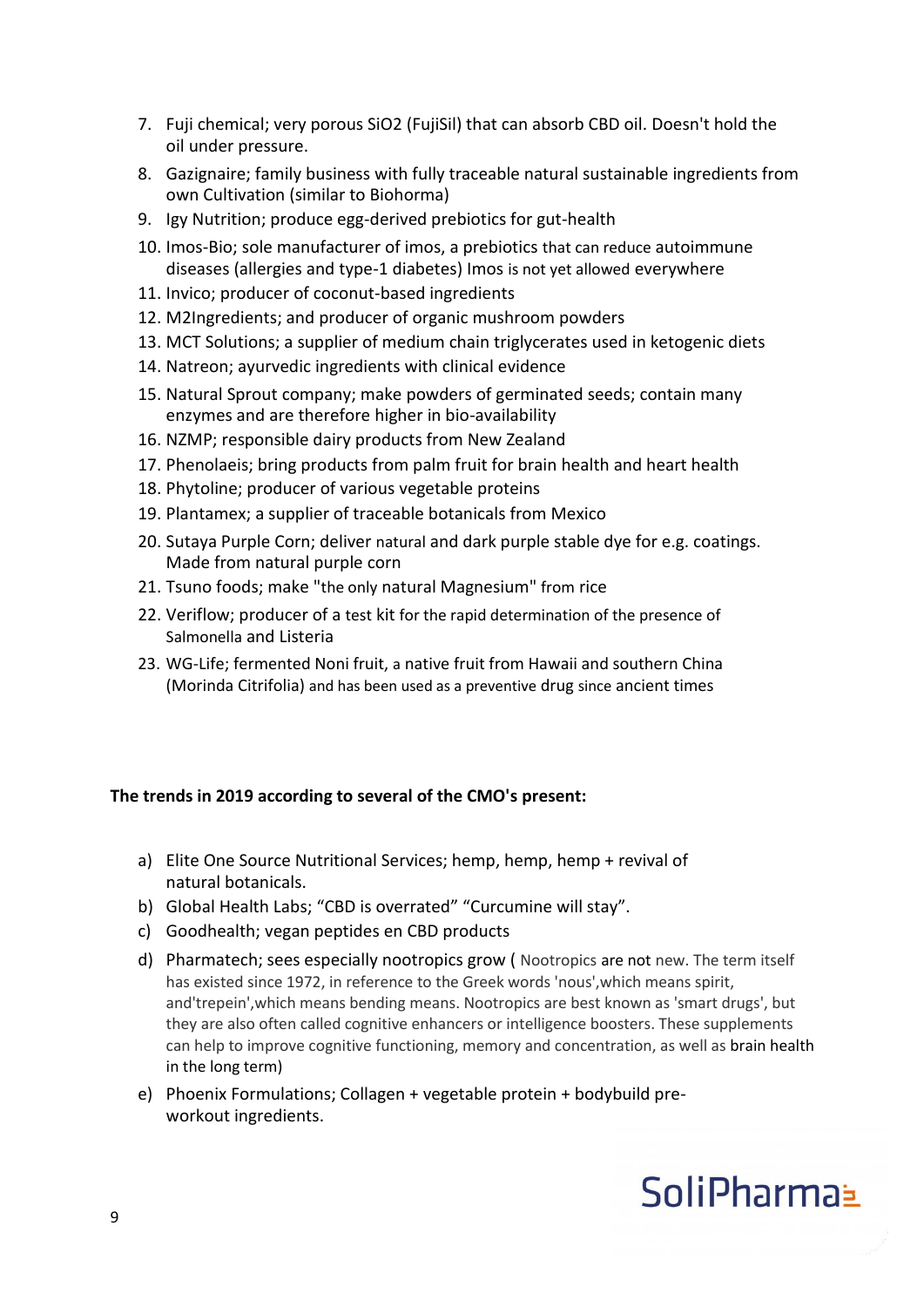- 7. Fuji chemical; very porous SiO2 (FujiSil) that can absorb CBD oil. Doesn't hold the oil under pressure.
- 8. Gazignaire; family business with fully traceable natural sustainable ingredients from own Cultivation (similar to Biohorma)
- 9. Igy Nutrition; produce egg-derived prebiotics for gut-health
- 10. Imos-Bio; sole manufacturer of imos, a prebiotics that can reduce autoimmune diseases (allergies and type-1 diabetes) Imos is not yet allowed everywhere
- 11. Invico; producer of coconut-based ingredients
- 12. M2Ingredients; and producer of organic mushroom powders
- 13. MCT Solutions; a supplier of medium chain triglycerates used in ketogenic diets
- 14. Natreon; ayurvedic ingredients with clinical evidence
- 15. Natural Sprout company; make powders of germinated seeds; contain many enzymes and are therefore higher in bio-availability
- 16. NZMP; responsible dairy products from New Zealand
- 17. Phenolaeis; bring products from palm fruit for brain health and heart health
- 18. Phytoline; producer of various vegetable proteins
- 19. Plantamex; a supplier of traceable botanicals from Mexico
- 20. Sutaya Purple Corn; deliver natural and dark purple stable dye for e.g. coatings. Made from natural purple corn
- 21. Tsuno foods; make "the only natural Magnesium" from rice
- 22. Veriflow; producer of a test kit for the rapid determination of the presence of Salmonella and Listeria
- 23. WG-Life; fermented Noni fruit, a native fruit from Hawaii and southern China (Morinda Citrifolia) and has been used as a preventive drug since ancient times

### **The trends in 2019 according to several of the CMO's present:**

- a) Elite One Source Nutritional Services; hemp, hemp, hemp + revival of natural botanicals.
- b) Global Health Labs; "CBD is overrated" "Curcumine will stay".
- c) Goodhealth; vegan peptides en CBD products
- d) Pharmatech; sees especially nootropics grow ( Nootropics are not new. The term itself has existed since 1972, in reference to the Greek words 'nous',which means spirit, and'trepein',which means bending means. Nootropics are best known as 'smart drugs', but they are also often called cognitive enhancers or intelligence boosters. These supplements can help to improve cognitive functioning, memory and concentration, as well as brain health in the long term)
- e) Phoenix Formulations; Collagen + vegetable protein + bodybuild preworkout ingredients.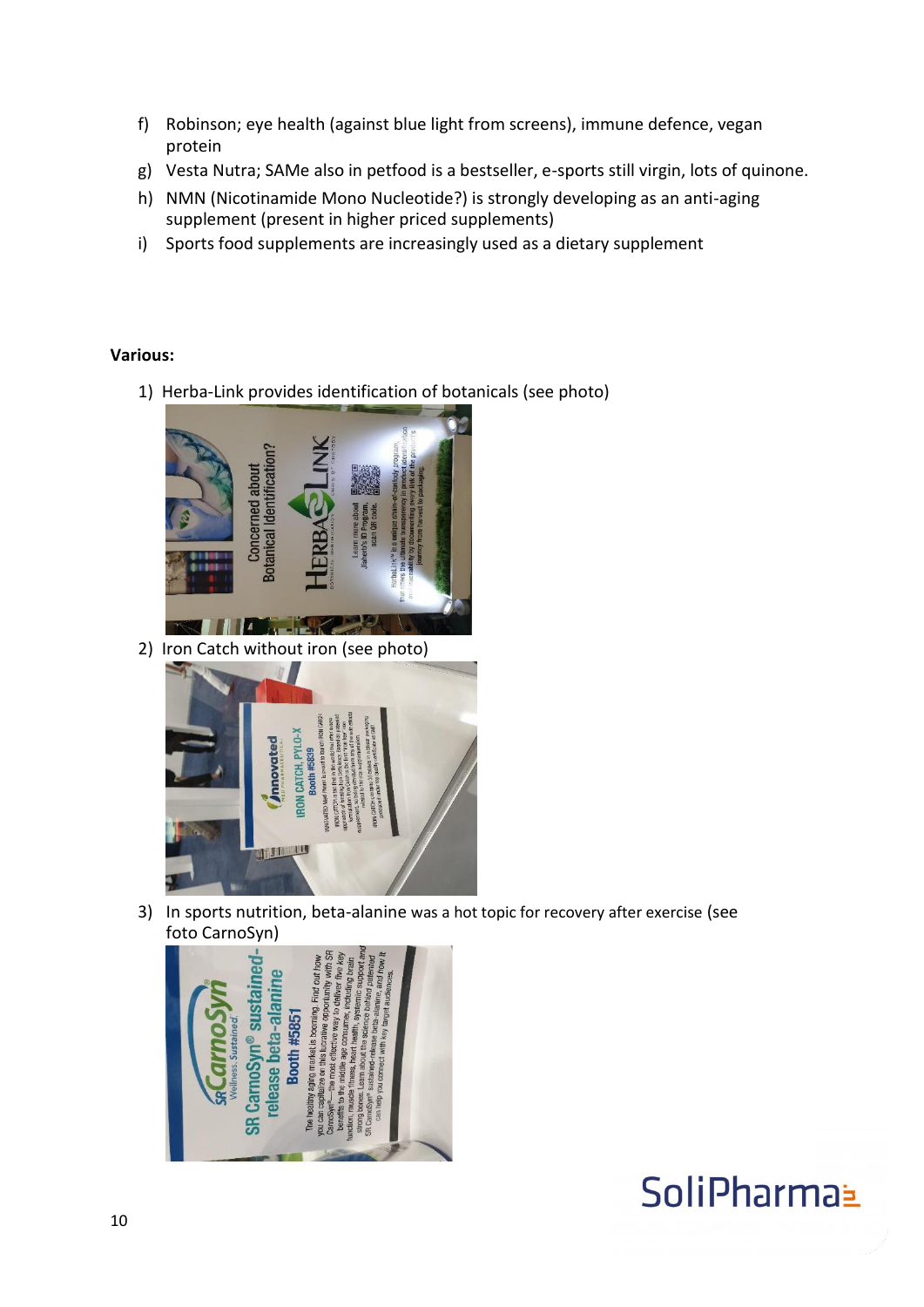- f) Robinson; eye health (against blue light from screens), immune defence, vegan protein
- g) Vesta Nutra; SAMe also in petfood is a bestseller, e-sports still virgin, lots of quinone.
- h) NMN (Nicotinamide Mono Nucleotide?) is strongly developing as an anti-aging supplement (present in higher priced supplements)
- i) Sports food supplements are increasingly used as a dietary supplement

### **Various:**

1) Herba-Link provides identification of botanicals (see photo)



2) Iron Catch without iron (see photo)



3) In sports nutrition, beta-alanine was a hot topic for recovery after exercise (see foto CarnoSyn)

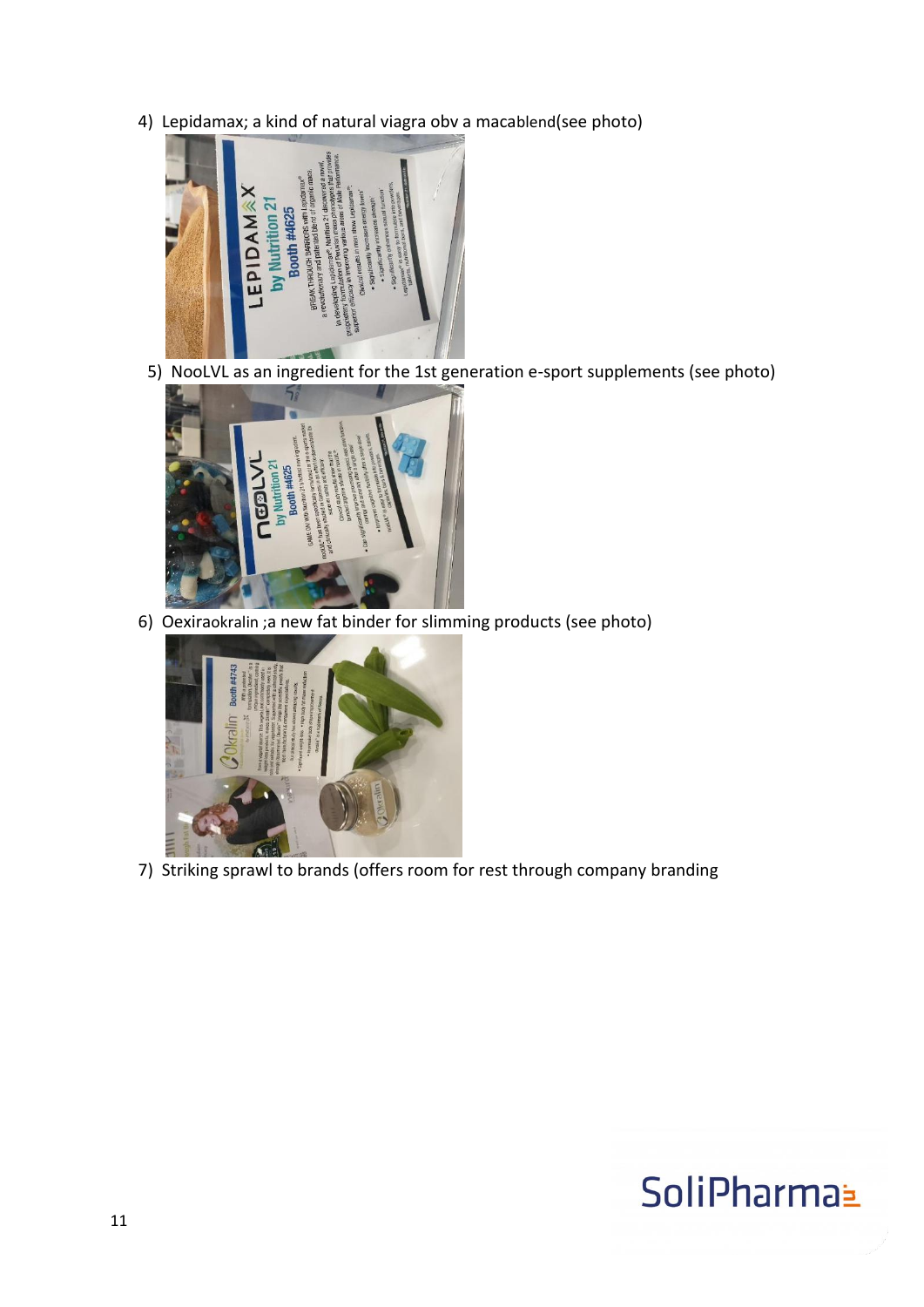4) Lepidamax; a kind of natural viagra obv a macablend(see photo)



5) NooLVL as an ingredient for the 1st generation e-sport supplements (see photo)



6) Oexiraokralin ;a new fat binder for slimming products (see photo)



7) Striking sprawl to brands (offers room for rest through company branding